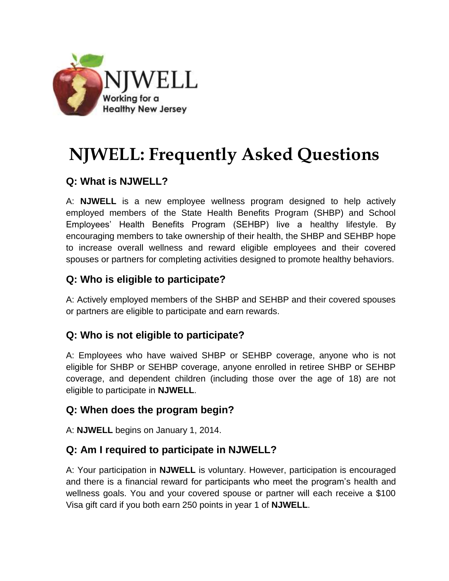

# **NJWELL: Frequently Asked Questions**

## **Q: What is NJWELL?**

A: **NJWELL** is a new employee wellness program designed to help actively employed members of the State Health Benefits Program (SHBP) and School Employees' Health Benefits Program (SEHBP) live a healthy lifestyle. By encouraging members to take ownership of their health, the SHBP and SEHBP hope to increase overall wellness and reward eligible employees and their covered spouses or partners for completing activities designed to promote healthy behaviors.

## **Q: Who is eligible to participate?**

A: Actively employed members of the SHBP and SEHBP and their covered spouses or partners are eligible to participate and earn rewards.

## **Q: Who is not eligible to participate?**

A: Employees who have waived SHBP or SEHBP coverage, anyone who is not eligible for SHBP or SEHBP coverage, anyone enrolled in retiree SHBP or SEHBP coverage, and dependent children (including those over the age of 18) are not eligible to participate in **NJWELL**.

#### **Q: When does the program begin?**

A: **NJWELL** begins on January 1, 2014.

#### **Q: Am I required to participate in NJWELL?**

A: Your participation in **NJWELL** is voluntary. However, participation is encouraged and there is a financial reward for participants who meet the program's health and wellness goals. You and your covered spouse or partner will each receive a \$100 Visa gift card if you both earn 250 points in year 1 of **NJWELL**.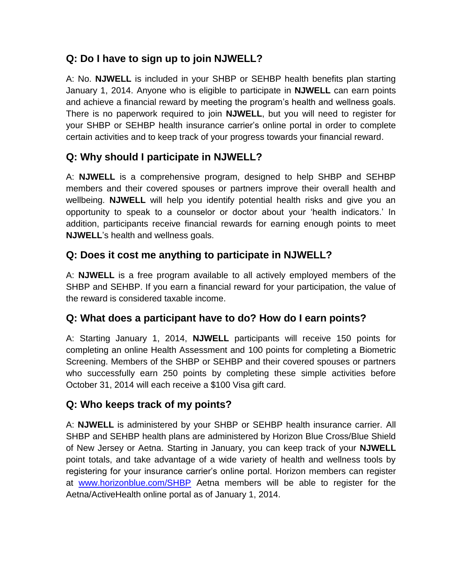## **Q: Do I have to sign up to join NJWELL?**

A: No. **NJWELL** is included in your SHBP or SEHBP health benefits plan starting January 1, 2014. Anyone who is eligible to participate in **NJWELL** can earn points and achieve a financial reward by meeting the program's health and wellness goals. There is no paperwork required to join **NJWELL**, but you will need to register for your SHBP or SEHBP health insurance carrier's online portal in order to complete certain activities and to keep track of your progress towards your financial reward.

## **Q: Why should I participate in NJWELL?**

A: **NJWELL** is a comprehensive program, designed to help SHBP and SEHBP members and their covered spouses or partners improve their overall health and wellbeing. **NJWELL** will help you identify potential health risks and give you an opportunity to speak to a counselor or doctor about your 'health indicators.' In addition, participants receive financial rewards for earning enough points to meet **NJWELL**'s health and wellness goals.

## **Q: Does it cost me anything to participate in NJWELL?**

A: **NJWELL** is a free program available to all actively employed members of the SHBP and SEHBP. If you earn a financial reward for your participation, the value of the reward is considered taxable income.

## **Q: What does a participant have to do? How do I earn points?**

A: Starting January 1, 2014, **NJWELL** participants will receive 150 points for completing an online Health Assessment and 100 points for completing a Biometric Screening. Members of the SHBP or SEHBP and their covered spouses or partners who successfully earn 250 points by completing these simple activities before October 31, 2014 will each receive a \$100 Visa gift card.

## **Q: Who keeps track of my points?**

A: **NJWELL** is administered by your SHBP or SEHBP health insurance carrier. All SHBP and SEHBP health plans are administered by Horizon Blue Cross/Blue Shield of New Jersey or Aetna. Starting in January, you can keep track of your **NJWELL** point totals, and take advantage of a wide variety of health and wellness tools by registering for your insurance carrier's online portal. Horizon members can register at [www.horizonblue.com/SHBP](http://www.horizonblue.com/SHBP) Aetna members will be able to register for the Aetna/ActiveHealth online portal as of January 1, 2014.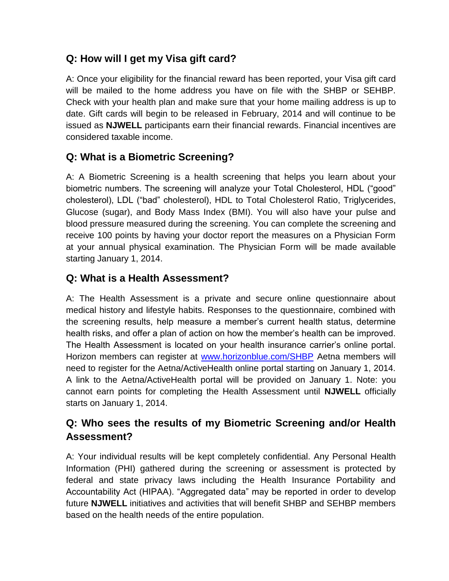## **Q: How will I get my Visa gift card?**

A: Once your eligibility for the financial reward has been reported, your Visa gift card will be mailed to the home address you have on file with the SHBP or SEHBP. Check with your health plan and make sure that your home mailing address is up to date. Gift cards will begin to be released in February, 2014 and will continue to be issued as **NJWELL** participants earn their financial rewards. Financial incentives are considered taxable income.

# **Q: What is a Biometric Screening?**

A: A Biometric Screening is a health screening that helps you learn about your biometric numbers. The screening will analyze your Total Cholesterol, HDL ("good" cholesterol), LDL ("bad" cholesterol), HDL to Total Cholesterol Ratio, Triglycerides, Glucose (sugar), and Body Mass Index (BMI). You will also have your pulse and blood pressure measured during the screening. You can complete the screening and receive 100 points by having your doctor report the measures on a Physician Form at your annual physical examination. The Physician Form will be made available starting January 1, 2014.

## **Q: What is a Health Assessment?**

A: The Health Assessment is a private and secure online questionnaire about medical history and lifestyle habits. Responses to the questionnaire, combined with the screening results, help measure a member's current health status, determine health risks, and offer a plan of action on how the member's health can be improved. The Health Assessment is located on your health insurance carrier's online portal. Horizon members can register at [www.horizonblue.com/SHBP](http://www.horizonblue.com/SHBP) Aetna members will need to register for the Aetna/ActiveHealth online portal starting on January 1, 2014. A link to the Aetna/ActiveHealth portal will be provided on January 1. Note: you cannot earn points for completing the Health Assessment until **NJWELL** officially starts on January 1, 2014.

## **Q: Who sees the results of my Biometric Screening and/or Health Assessment?**

A: Your individual results will be kept completely confidential. Any Personal Health Information (PHI) gathered during the screening or assessment is protected by federal and state privacy laws including the Health Insurance Portability and Accountability Act (HIPAA). "Aggregated data" may be reported in order to develop future **NJWELL** initiatives and activities that will benefit SHBP and SEHBP members based on the health needs of the entire population.